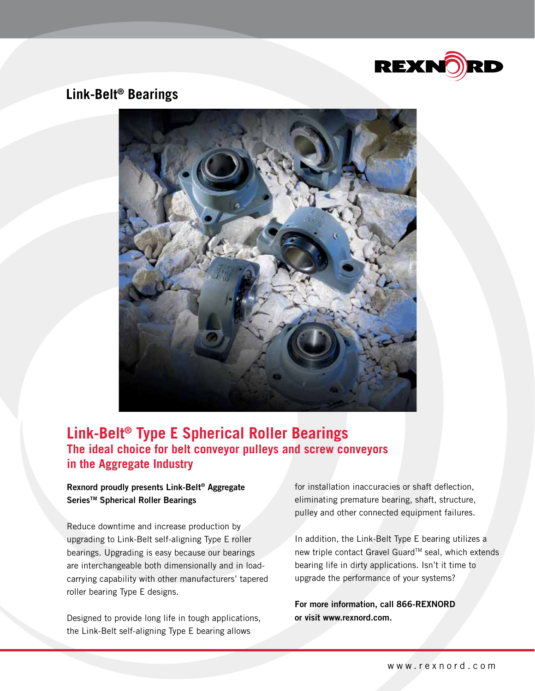

## **Link-Belt® Bearings**



## **Link-Belt® Type E Spherical Roller Bearings The ideal choice for belt conveyor pulleys and screw conveyors in the Aggregate Industry**

### Rexnord proudly presents Link-Belt® Aggregate Series<sup>™</sup> Spherical Roller Bearings

Reduce downtime and increase production by upgrading to Link-Belt self-aligning Type E roller bearings. Upgrading is easy because our bearings are interchangeable both dimensionally and in loadcarrying capability with other manufacturers' tapered roller bearing Type E designs.

Designed to provide long life in tough applications, the Link-Belt self-aligning Type E bearing allows

for installation inaccuracies or shaft deflection, eliminating premature bearing, shaft, structure, pulley and other connected equipment failures.

In addition, the Link-Belt Type E bearing utilizes a new triple contact Gravel Guard™ seal, which extends bearing life in dirty applications. Isn't it time to upgrade the performance of your systems?

For more information, call 866-REXNORD or visit www.rexnord.com.